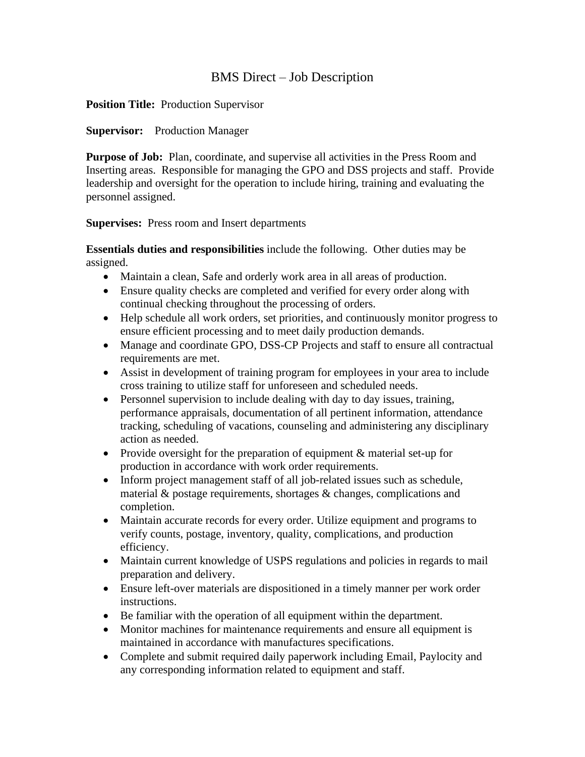# BMS Direct – Job Description

### **Position Title:** Production Supervisor

### **Supervisor:** Production Manager

**Purpose of Job:** Plan, coordinate, and supervise all activities in the Press Room and Inserting areas. Responsible for managing the GPO and DSS projects and staff. Provide leadership and oversight for the operation to include hiring, training and evaluating the personnel assigned.

### **Supervises:** Press room and Insert departments

**Essentials duties and responsibilities** include the following. Other duties may be assigned.

- Maintain a clean, Safe and orderly work area in all areas of production.
- Ensure quality checks are completed and verified for every order along with continual checking throughout the processing of orders.
- Help schedule all work orders, set priorities, and continuously monitor progress to ensure efficient processing and to meet daily production demands.
- Manage and coordinate GPO, DSS-CP Projects and staff to ensure all contractual requirements are met.
- Assist in development of training program for employees in your area to include cross training to utilize staff for unforeseen and scheduled needs.
- Personnel supervision to include dealing with day to day issues, training, performance appraisals, documentation of all pertinent information, attendance tracking, scheduling of vacations, counseling and administering any disciplinary action as needed.
- Provide oversight for the preparation of equipment & material set-up for production in accordance with work order requirements.
- Inform project management staff of all job-related issues such as schedule, material & postage requirements, shortages & changes, complications and completion.
- Maintain accurate records for every order. Utilize equipment and programs to verify counts, postage, inventory, quality, complications, and production efficiency.
- Maintain current knowledge of USPS regulations and policies in regards to mail preparation and delivery.
- Ensure left-over materials are dispositioned in a timely manner per work order instructions.
- Be familiar with the operation of all equipment within the department.
- Monitor machines for maintenance requirements and ensure all equipment is maintained in accordance with manufactures specifications.
- Complete and submit required daily paperwork including Email, Paylocity and any corresponding information related to equipment and staff.